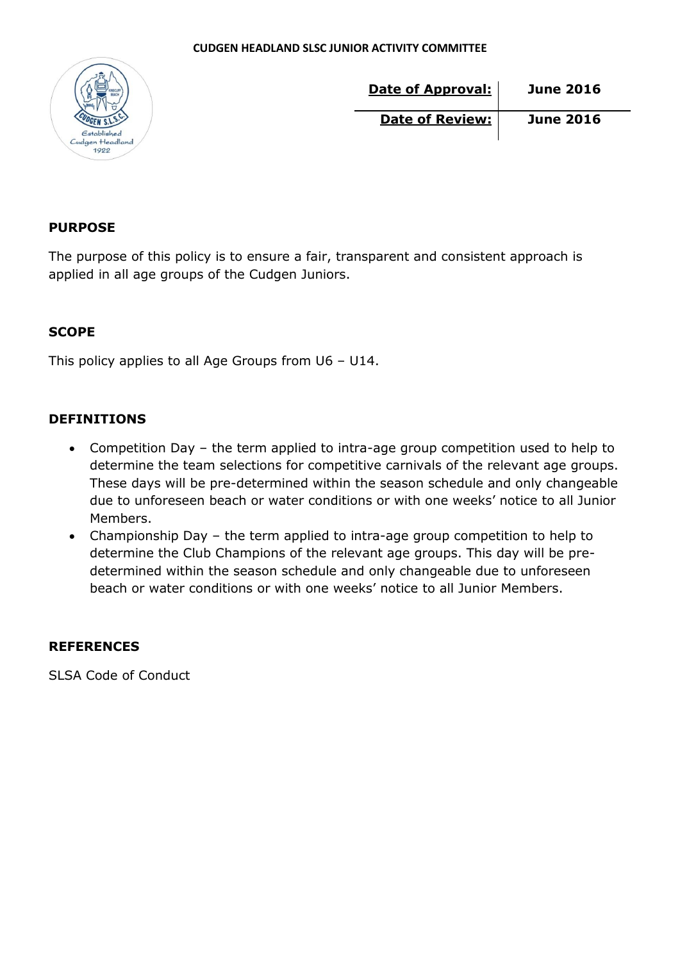

| Date of Approval:      | <b>June 2016</b> |
|------------------------|------------------|
| <b>Date of Review:</b> | <b>June 2016</b> |

### **PURPOSE**

The purpose of this policy is to ensure a fair, transparent and consistent approach is applied in all age groups of the Cudgen Juniors.

### **SCOPE**

This policy applies to all Age Groups from U6 – U14.

### **DEFINITIONS**

- Competition Day the term applied to intra-age group competition used to help to determine the team selections for competitive carnivals of the relevant age groups. These days will be pre-determined within the season schedule and only changeable due to unforeseen beach or water conditions or with one weeks' notice to all Junior Members.
- Championship Day the term applied to intra-age group competition to help to determine the Club Champions of the relevant age groups. This day will be predetermined within the season schedule and only changeable due to unforeseen beach or water conditions or with one weeks' notice to all Junior Members.

### **REFERENCES**

SLSA Code of Conduct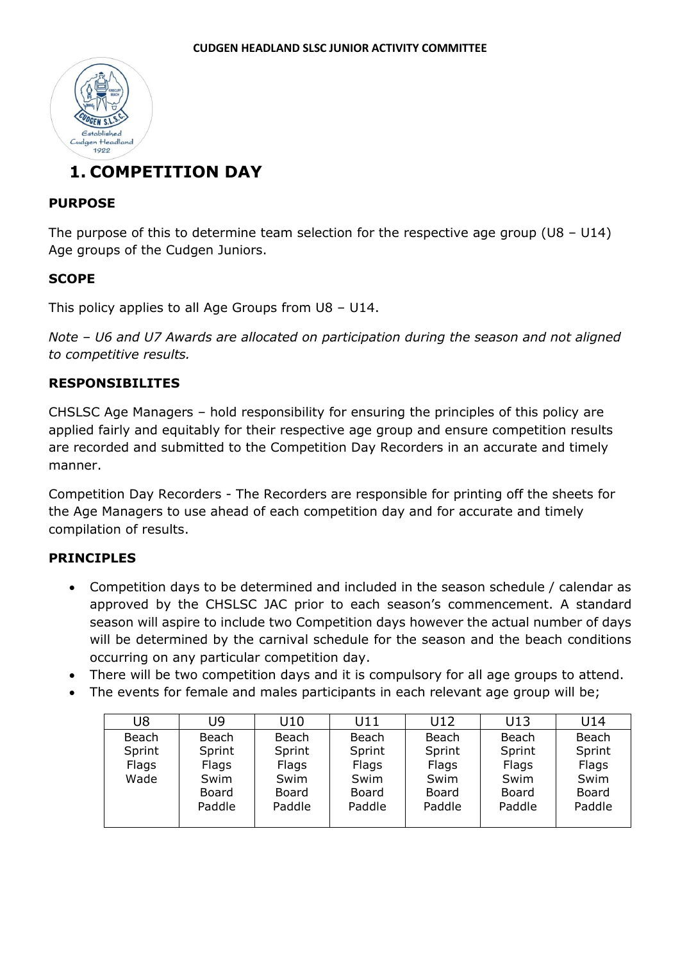

# **1. COMPETITION DAY**

### **PURPOSE**

The purpose of this to determine team selection for the respective age group ( $U8 - U14$ ) Age groups of the Cudgen Juniors.

### **SCOPE**

This policy applies to all Age Groups from U8 – U14.

*Note – U6 and U7 Awards are allocated on participation during the season and not aligned to competitive results.*

### **RESPONSIBILITES**

CHSLSC Age Managers – hold responsibility for ensuring the principles of this policy are applied fairly and equitably for their respective age group and ensure competition results are recorded and submitted to the Competition Day Recorders in an accurate and timely manner.

Competition Day Recorders - The Recorders are responsible for printing off the sheets for the Age Managers to use ahead of each competition day and for accurate and timely compilation of results.

### **PRINCIPLES**

- Competition days to be determined and included in the season schedule / calendar as approved by the CHSLSC JAC prior to each season's commencement. A standard season will aspire to include two Competition days however the actual number of days will be determined by the carnival schedule for the season and the beach conditions occurring on any particular competition day.
- There will be two competition days and it is compulsory for all age groups to attend.
- The events for female and males participants in each relevant age group will be;

| U8     | U9     | U10    | U11    | U12    | U13    | U14    |
|--------|--------|--------|--------|--------|--------|--------|
| Beach  | Beach  | Beach  | Beach  | Beach  | Beach  | Beach  |
| Sprint | Sprint | Sprint | Sprint | Sprint | Sprint | Sprint |
| Flags  | Flags  | Flags  | Flags  | Flags  | Flags  | Flags  |
| Wade   | Swim   | Swim   | Swim   | Swim   | Swim   | Swim   |
|        | Board  | Board  | Board  | Board  | Board  | Board  |
|        | Paddle | Paddle | Paddle | Paddle | Paddle | Paddle |
|        |        |        |        |        |        |        |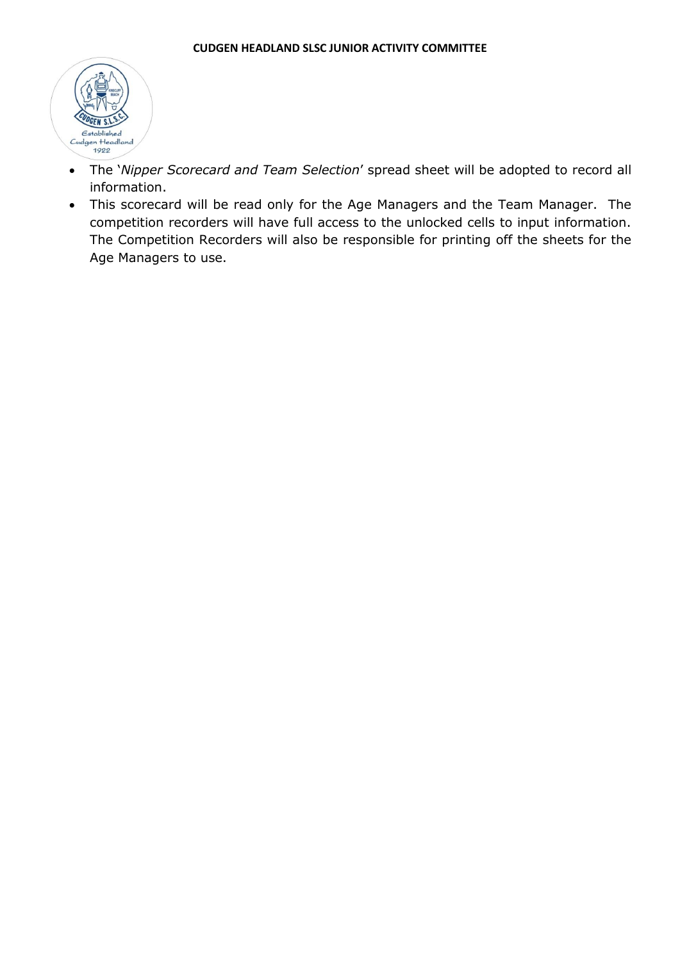

- The '*Nipper Scorecard and Team Selection*' spread sheet will be adopted to record all information.
- This scorecard will be read only for the Age Managers and the Team Manager. The competition recorders will have full access to the unlocked cells to input information. The Competition Recorders will also be responsible for printing off the sheets for the Age Managers to use.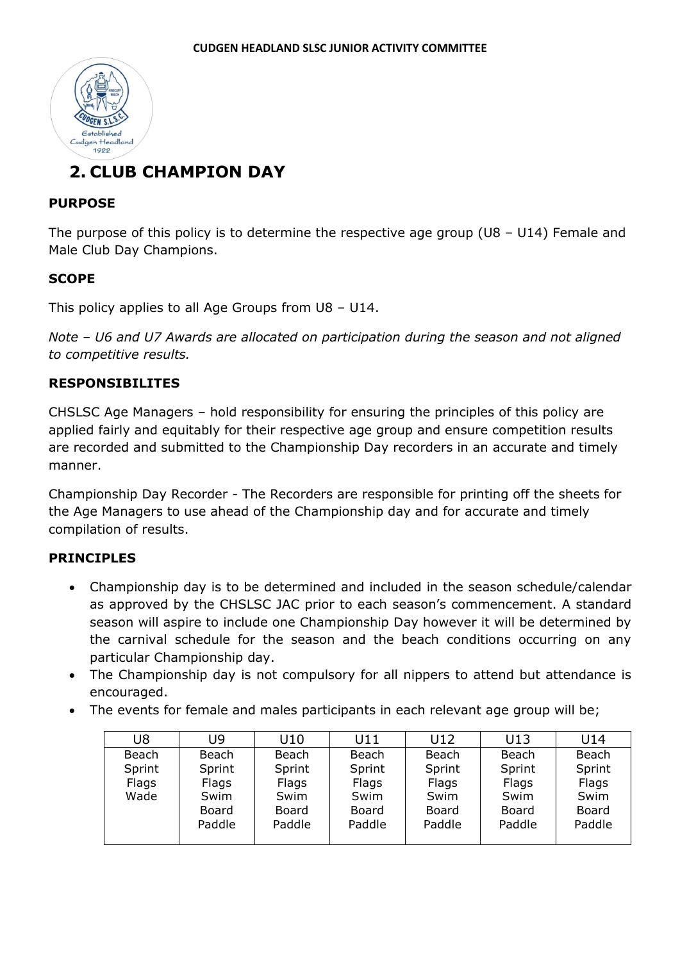

# **2. CLUB CHAMPION DAY**

### **PURPOSE**

The purpose of this policy is to determine the respective age group (U8 – U14) Female and Male Club Day Champions.

### **SCOPE**

This policy applies to all Age Groups from U8 – U14.

*Note – U6 and U7 Awards are allocated on participation during the season and not aligned to competitive results.*

### **RESPONSIBILITES**

CHSLSC Age Managers – hold responsibility for ensuring the principles of this policy are applied fairly and equitably for their respective age group and ensure competition results are recorded and submitted to the Championship Day recorders in an accurate and timely manner.

Championship Day Recorder - The Recorders are responsible for printing off the sheets for the Age Managers to use ahead of the Championship day and for accurate and timely compilation of results.

### **PRINCIPLES**

- Championship day is to be determined and included in the season schedule/calendar as approved by the CHSLSC JAC prior to each season's commencement. A standard season will aspire to include one Championship Day however it will be determined by the carnival schedule for the season and the beach conditions occurring on any particular Championship day.
- The Championship day is not compulsory for all nippers to attend but attendance is encouraged.
- The events for female and males participants in each relevant age group will be;

| U8     | U9     | U10    | U11    | U12    | U13    | U14    |
|--------|--------|--------|--------|--------|--------|--------|
| Beach  | Beach  | Beach  | Beach  | Beach  | Beach  | Beach  |
| Sprint | Sprint | Sprint | Sprint | Sprint | Sprint | Sprint |
| Flags  | Flags  | Flags  | Flags  | Flags  | Flags  | Flags  |
| Wade   | Swim   | Swim   | Swim   | Swim   | Swim   | Swim   |
|        | Board  | Board  | Board  | Board  | Board  | Board  |
|        | Paddle | Paddle | Paddle | Paddle | Paddle | Paddle |
|        |        |        |        |        |        |        |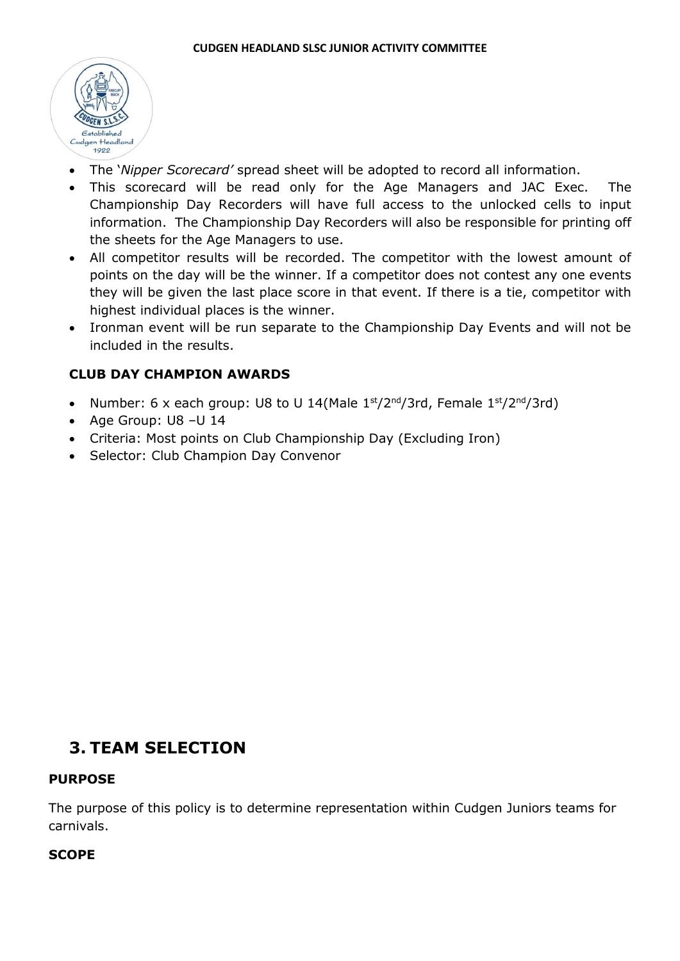

- The '*Nipper Scorecard'* spread sheet will be adopted to record all information.
- This scorecard will be read only for the Age Managers and JAC Exec. The Championship Day Recorders will have full access to the unlocked cells to input information. The Championship Day Recorders will also be responsible for printing off the sheets for the Age Managers to use.
- All competitor results will be recorded. The competitor with the lowest amount of points on the day will be the winner. If a competitor does not contest any one events they will be given the last place score in that event. If there is a tie, competitor with highest individual places is the winner.
- Ironman event will be run separate to the Championship Day Events and will not be included in the results.

### **CLUB DAY CHAMPION AWARDS**

- Number: 6 x each group: U8 to U 14(Male  $1<sup>st</sup>/2<sup>nd</sup>/3rd$ , Female  $1<sup>st</sup>/2<sup>nd</sup>/3rd$ )
- Age Group: U8 –U 14
- Criteria: Most points on Club Championship Day (Excluding Iron)
- Selector: Club Champion Day Convenor

# **3. TEAM SELECTION**

### **PURPOSE**

The purpose of this policy is to determine representation within Cudgen Juniors teams for carnivals.

### **SCOPE**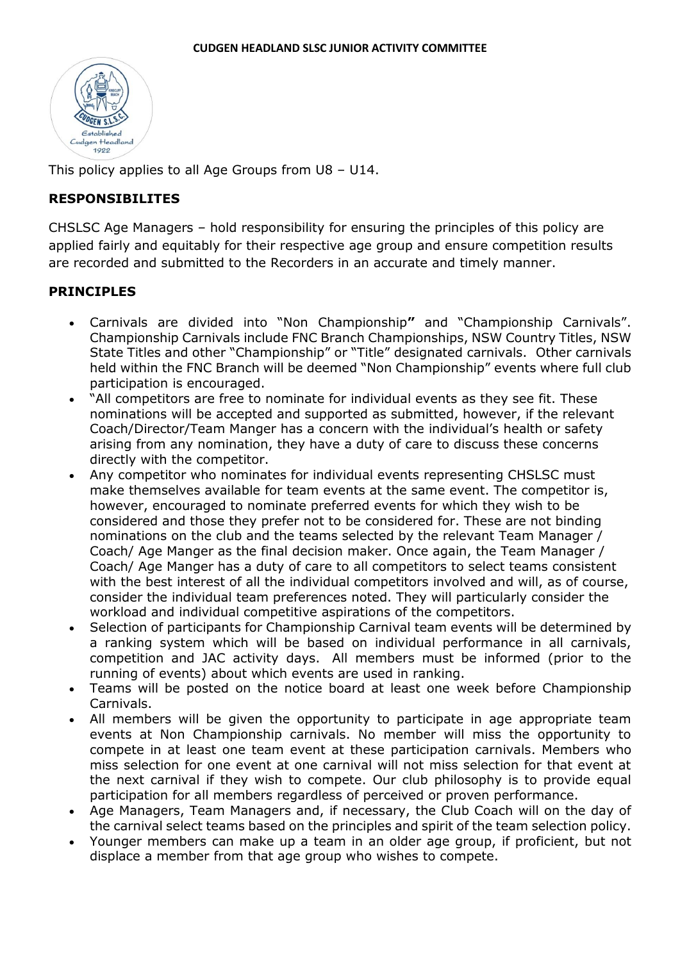

This policy applies to all Age Groups from U8 – U14.

### **RESPONSIBILITES**

CHSLSC Age Managers – hold responsibility for ensuring the principles of this policy are applied fairly and equitably for their respective age group and ensure competition results are recorded and submitted to the Recorders in an accurate and timely manner.

### **PRINCIPLES**

- Carnivals are divided into "Non Championship**"** and "Championship Carnivals". Championship Carnivals include FNC Branch Championships, NSW Country Titles, NSW State Titles and other "Championship" or "Title" designated carnivals. Other carnivals held within the FNC Branch will be deemed "Non Championship" events where full club participation is encouraged.
- "All competitors are free to nominate for individual events as they see fit. These nominations will be accepted and supported as submitted, however, if the relevant Coach/Director/Team Manger has a concern with the individual's health or safety arising from any nomination, they have a duty of care to discuss these concerns directly with the competitor.
- Any competitor who nominates for individual events representing CHSLSC must make themselves available for team events at the same event. The competitor is, however, encouraged to nominate preferred events for which they wish to be considered and those they prefer not to be considered for. These are not binding nominations on the club and the teams selected by the relevant Team Manager / Coach/ Age Manger as the final decision maker. Once again, the Team Manager / Coach/ Age Manger has a duty of care to all competitors to select teams consistent with the best interest of all the individual competitors involved and will, as of course, consider the individual team preferences noted. They will particularly consider the workload and individual competitive aspirations of the competitors.
- Selection of participants for Championship Carnival team events will be determined by a ranking system which will be based on individual performance in all carnivals, competition and JAC activity days. All members must be informed (prior to the running of events) about which events are used in ranking.
- Teams will be posted on the notice board at least one week before Championship Carnivals.
- All members will be given the opportunity to participate in age appropriate team events at Non Championship carnivals. No member will miss the opportunity to compete in at least one team event at these participation carnivals. Members who miss selection for one event at one carnival will not miss selection for that event at the next carnival if they wish to compete. Our club philosophy is to provide equal participation for all members regardless of perceived or proven performance.
- Age Managers, Team Managers and, if necessary, the Club Coach will on the day of the carnival select teams based on the principles and spirit of the team selection policy.
- Younger members can make up a team in an older age group, if proficient, but not displace a member from that age group who wishes to compete.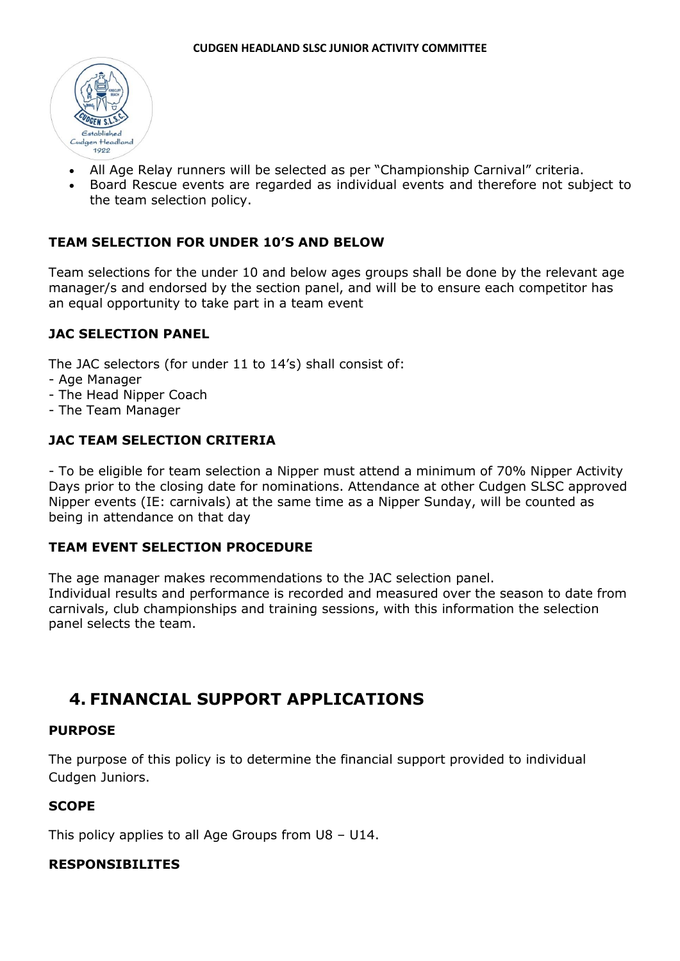

- All Age Relay runners will be selected as per "Championship Carnival" criteria.
- Board Rescue events are regarded as individual events and therefore not subject to the team selection policy.

### **TEAM SELECTION FOR UNDER 10'S AND BELOW**

Team selections for the under 10 and below ages groups shall be done by the relevant age manager/s and endorsed by the section panel, and will be to ensure each competitor has an equal opportunity to take part in a team event

#### **JAC SELECTION PANEL**

The JAC selectors (for under 11 to 14's) shall consist of:

- Age Manager
- The Head Nipper Coach
- The Team Manager

### **JAC TEAM SELECTION CRITERIA**

- To be eligible for team selection a Nipper must attend a minimum of 70% Nipper Activity Days prior to the closing date for nominations. Attendance at other Cudgen SLSC approved Nipper events (IE: carnivals) at the same time as a Nipper Sunday, will be counted as being in attendance on that day

#### **TEAM EVENT SELECTION PROCEDURE**

The age manager makes recommendations to the JAC selection panel. Individual results and performance is recorded and measured over the season to date from carnivals, club championships and training sessions, with this information the selection panel selects the team.

### **4. FINANCIAL SUPPORT APPLICATIONS**

#### **PURPOSE**

The purpose of this policy is to determine the financial support provided to individual Cudgen Juniors.

### **SCOPE**

This policy applies to all Age Groups from U8 – U14.

### **RESPONSIBILITES**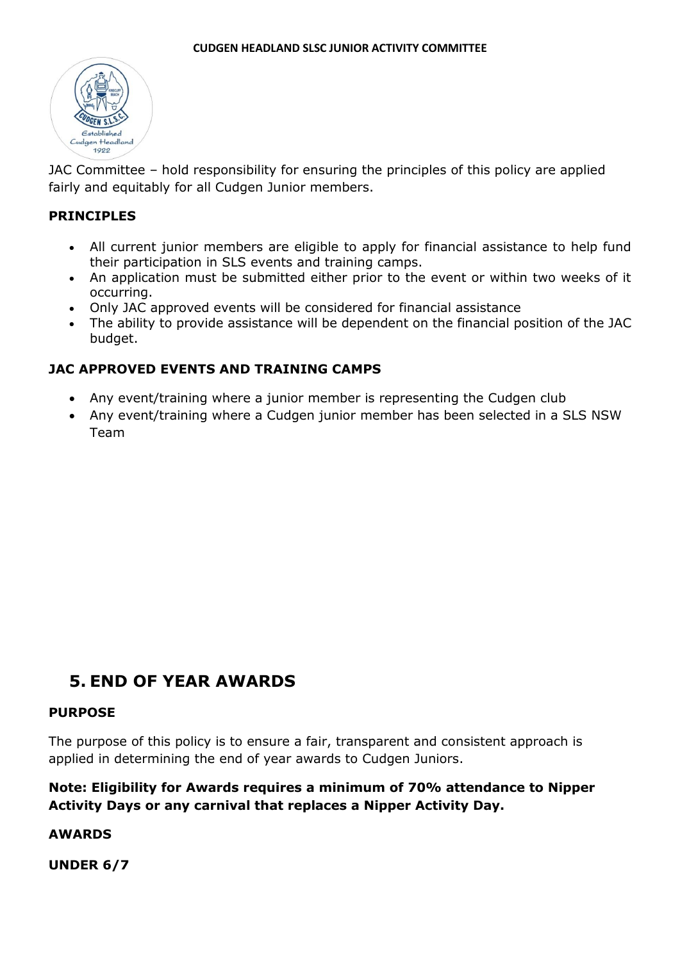

JAC Committee – hold responsibility for ensuring the principles of this policy are applied fairly and equitably for all Cudgen Junior members.

### **PRINCIPLES**

- All current junior members are eligible to apply for financial assistance to help fund their participation in SLS events and training camps.
- An application must be submitted either prior to the event or within two weeks of it occurring.
- Only JAC approved events will be considered for financial assistance
- The ability to provide assistance will be dependent on the financial position of the JAC budget.

### **JAC APPROVED EVENTS AND TRAINING CAMPS**

- Any event/training where a junior member is representing the Cudgen club
- Any event/training where a Cudgen junior member has been selected in a SLS NSW Team

# **5. END OF YEAR AWARDS**

### **PURPOSE**

The purpose of this policy is to ensure a fair, transparent and consistent approach is applied in determining the end of year awards to Cudgen Juniors.

### **Note: Eligibility for Awards requires a minimum of 70% attendance to Nipper Activity Days or any carnival that replaces a Nipper Activity Day.**

### **AWARDS**

**UNDER 6/7**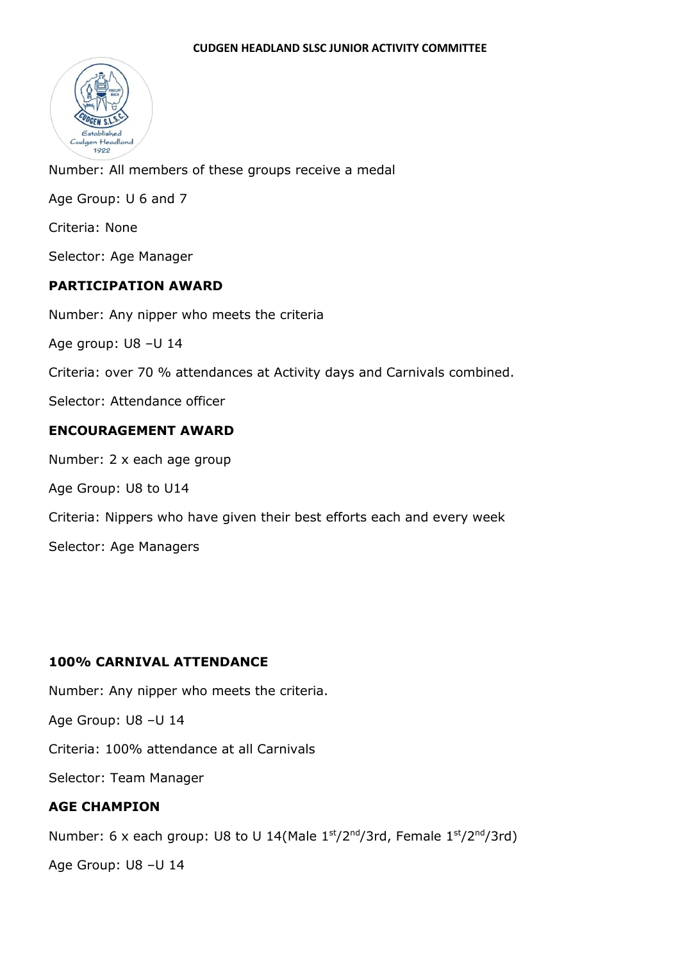

Number: All members of these groups receive a medal Age Group: U 6 and 7 Criteria: None Selector: Age Manager **PARTICIPATION AWARD**  Number: Any nipper who meets the criteria

Age group: U8 –U 14

Criteria: over 70 % attendances at Activity days and Carnivals combined.

Selector: Attendance officer

### **ENCOURAGEMENT AWARD**

Number: 2 x each age group

Age Group: U8 to U14

Criteria: Nippers who have given their best efforts each and every week

Selector: Age Managers

### **100% CARNIVAL ATTENDANCE**

Number: Any nipper who meets the criteria.

Age Group: U8 –U 14

Criteria: 100% attendance at all Carnivals

Selector: Team Manager

### **AGE CHAMPION**

Number: 6 x each group: U8 to U 14(Male  $1<sup>st</sup>/2<sup>nd</sup>/3rd$ , Female  $1<sup>st</sup>/2<sup>nd</sup>/3rd$ )

Age Group: U8 –U 14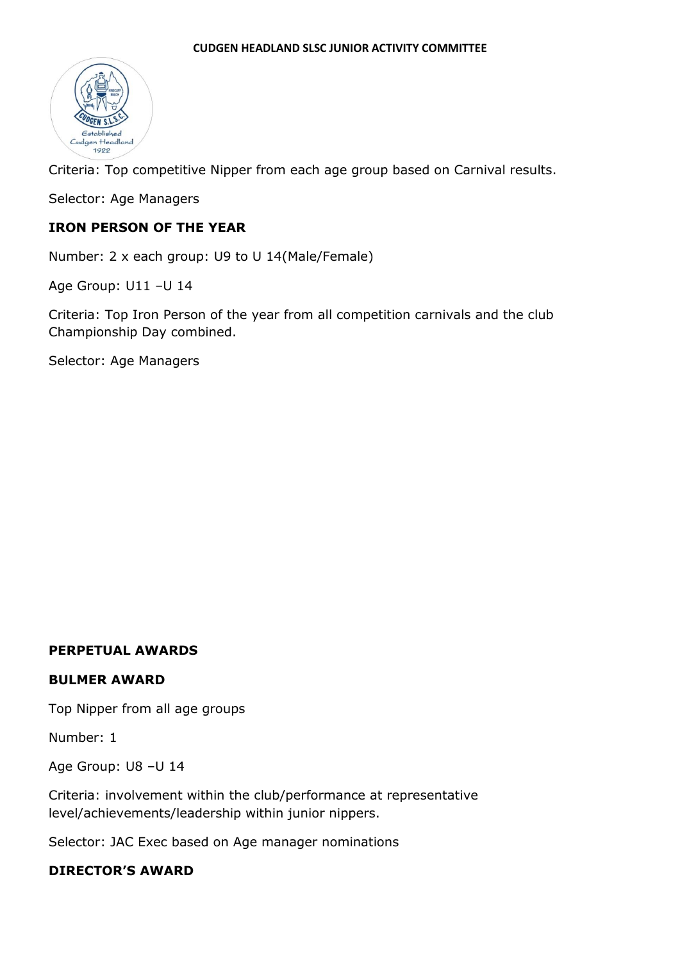

Criteria: Top competitive Nipper from each age group based on Carnival results.

Selector: Age Managers

### **IRON PERSON OF THE YEAR**

Number: 2 x each group: U9 to U 14(Male/Female)

Age Group: U11 –U 14

Criteria: Top Iron Person of the year from all competition carnivals and the club Championship Day combined.

Selector: Age Managers

#### **PERPETUAL AWARDS**

#### **BULMER AWARD**

Top Nipper from all age groups

Number: 1

Age Group: U8 –U 14

Criteria: involvement within the club/performance at representative level/achievements/leadership within junior nippers.

Selector: JAC Exec based on Age manager nominations

### **DIRECTOR'S AWARD**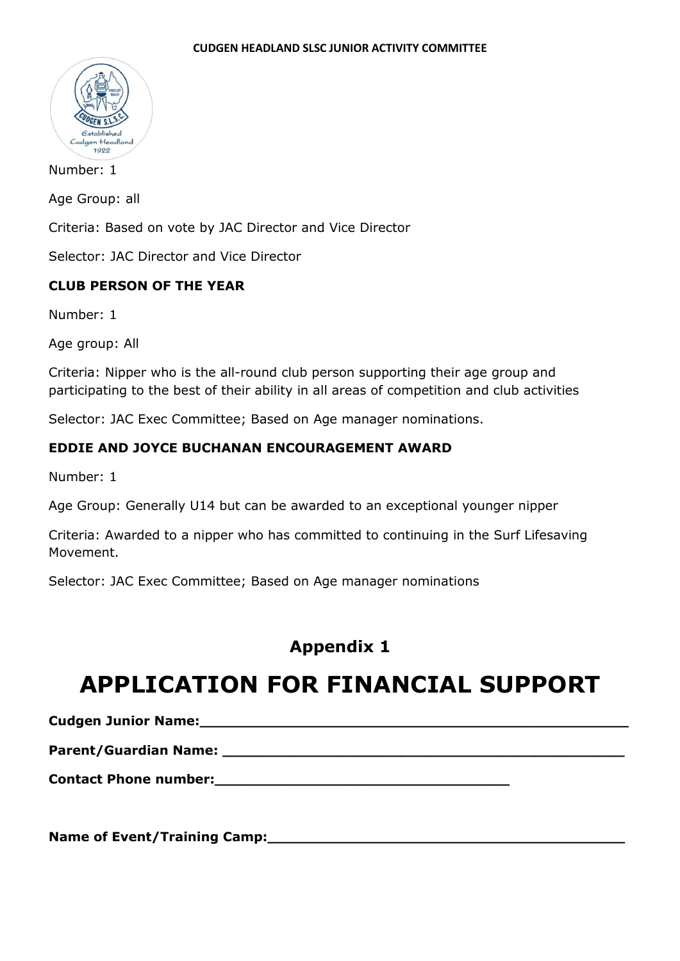

Number: 1

Age Group: all

Criteria: Based on vote by JAC Director and Vice Director

Selector: JAC Director and Vice Director

### **CLUB PERSON OF THE YEAR**

Number: 1

Age group: All

Criteria: Nipper who is the all-round club person supporting their age group and participating to the best of their ability in all areas of competition and club activities

Selector: JAC Exec Committee; Based on Age manager nominations.

### **EDDIE AND JOYCE BUCHANAN ENCOURAGEMENT AWARD**

Number: 1

Age Group: Generally U14 but can be awarded to an exceptional younger nipper

Criteria: Awarded to a nipper who has committed to continuing in the Surf Lifesaving Movement.

Selector: JAC Exec Committee; Based on Age manager nominations

# **Appendix 1**

# **APPLICATION FOR FINANCIAL SUPPORT**

**Cudgen Junior Name: Cudgen Junior Name: Cudgen Internal and Culture Culture Culture Culture Culture Culture Culture Culture Culture Culture Culture Culture Culture Culture Culture Culture Culture Culture Culture Cultu** 

**Parent/Guardian Name: \_\_\_\_\_\_\_\_\_\_\_\_\_\_\_\_\_\_\_\_\_\_\_\_\_\_\_\_\_\_\_\_\_\_\_\_\_\_\_\_\_\_\_\_\_**

**Contact Phone number:\_\_\_\_\_\_\_\_\_\_\_\_\_\_\_\_\_\_\_\_\_\_\_\_\_\_\_\_\_\_\_\_\_**

**Name of Event/Training Camp:\_\_\_\_\_\_\_\_\_\_\_\_\_\_\_\_\_\_\_\_\_\_\_\_\_\_\_\_\_\_\_\_\_\_\_\_\_\_\_\_**